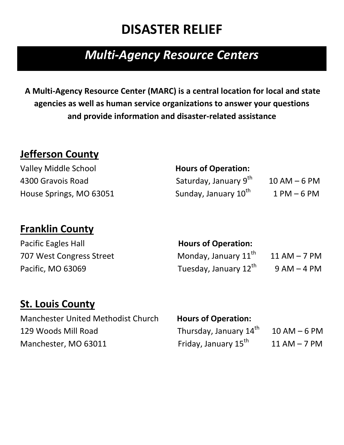# **DISASTER RELIEF**

# *Multi-Agency Resource Centers*

**A Multi-Agency Resource Center (MARC) is a central location for local and state agencies as well as human service organizations to answer your questions and provide information and disaster-related assistance**

#### **Jefferson County**

Valley Middle School **Hours of Operation:** 4300 Grayois Road House Springs, MO 63051

| Saturday, January 9 <sup>th</sup> | $10 AM - 6 PM$ |
|-----------------------------------|----------------|
| Sunday, January 10 <sup>th</sup>  | $1 PM - 6 PM$  |

### **Franklin County**

| <b>Pacific Eagles Hall</b> | <b>Hours of Operation:</b>        |                  |
|----------------------------|-----------------------------------|------------------|
| 707 West Congress Street   | Monday, January 11th              | $11$ AM $-$ 7 PM |
| Pacific, MO 63069          | Tuesday, January 12 <sup>th</sup> | $9 AM - 4 PM$    |

### **St. Louis County**

Manchester United Methodist Church **Hours of Operation:** 129 Woods Mill Road **Thursday, January 14<sup>th</sup>** Manchester, MO 63011

 $10$  AM – 6 PM Friday, January 15<sup>th</sup> 11 AM – 7 PM